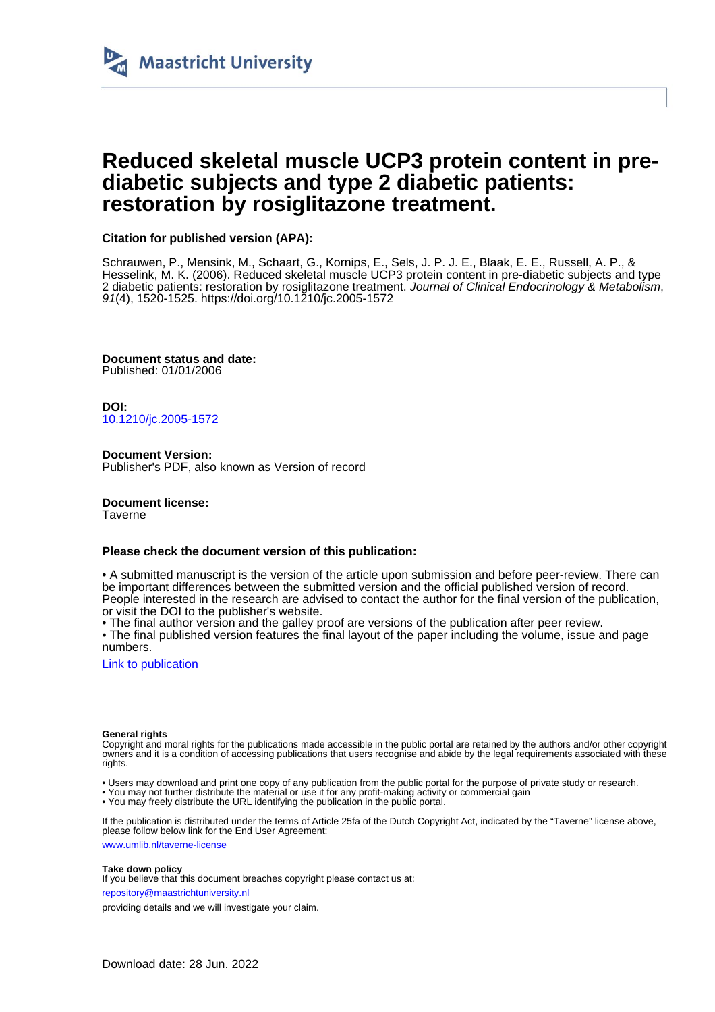

## **Reduced skeletal muscle UCP3 protein content in prediabetic subjects and type 2 diabetic patients: restoration by rosiglitazone treatment.**

## **Citation for published version (APA):**

Schrauwen, P., Mensink, M., Schaart, G., Kornips, E., Sels, J. P. J. E., Blaak, E. E., Russell, A. P., & Hesselink, M. K. (2006). Reduced skeletal muscle UCP3 protein content in pre-diabetic subjects and type 2 diabetic patients: restoration by rosiglitazone treatment. Journal of Clinical Endocrinology & Metabolism, 91(4), 1520-1525.<https://doi.org/10.1210/jc.2005-1572>

**Document status and date:** Published: 01/01/2006

**DOI:** [10.1210/jc.2005-1572](https://doi.org/10.1210/jc.2005-1572)

**Document Version:** Publisher's PDF, also known as Version of record

**Document license:** Taverne

## **Please check the document version of this publication:**

• A submitted manuscript is the version of the article upon submission and before peer-review. There can be important differences between the submitted version and the official published version of record. People interested in the research are advised to contact the author for the final version of the publication, or visit the DOI to the publisher's website.

• The final author version and the galley proof are versions of the publication after peer review.

• The final published version features the final layout of the paper including the volume, issue and page numbers.

[Link to publication](https://cris.maastrichtuniversity.nl/en/publications/6f22973d-86ba-46e9-89d3-737e4578bc0b)

#### **General rights**

Copyright and moral rights for the publications made accessible in the public portal are retained by the authors and/or other copyright owners and it is a condition of accessing publications that users recognise and abide by the legal requirements associated with these rights.

• Users may download and print one copy of any publication from the public portal for the purpose of private study or research.

• You may not further distribute the material or use it for any profit-making activity or commercial gain

• You may freely distribute the URL identifying the publication in the public portal

If the publication is distributed under the terms of Article 25fa of the Dutch Copyright Act, indicated by the "Taverne" license above, please follow below link for the End User Agreement:

www.umlib.nl/taverne-license

#### **Take down policy**

If you believe that this document breaches copyright please contact us at:

repository@maastrichtuniversity.nl

providing details and we will investigate your claim.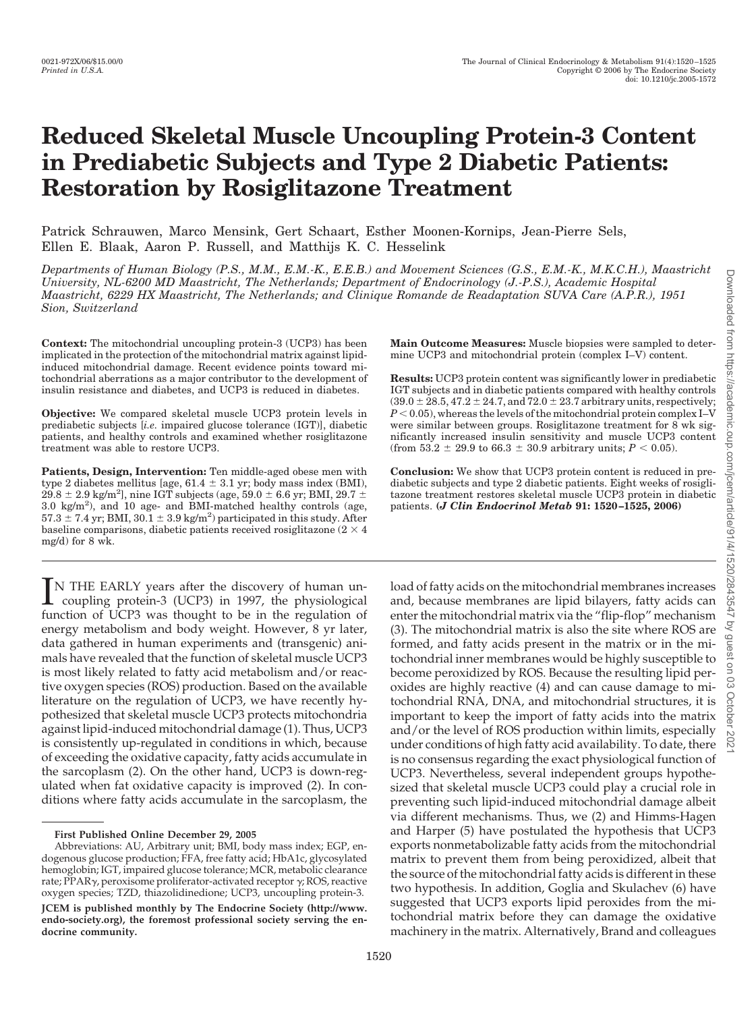# **Reduced Skeletal Muscle Uncoupling Protein-3 Content in Prediabetic Subjects and Type 2 Diabetic Patients: Restoration by Rosiglitazone Treatment**

Patrick Schrauwen, Marco Mensink, Gert Schaart, Esther Moonen-Kornips, Jean-Pierre Sels, Ellen E. Blaak, Aaron P. Russell, and Matthijs K. C. Hesselink

*Departments of Human Biology (P.S., M.M., E.M.-K., E.E.B.) and Movement Sciences (G.S., E.M.-K., M.K.C.H.), Maastricht University, NL-6200 MD Maastricht, The Netherlands; Department of Endocrinology (J.-P.S.), Academic Hospital Maastricht, 6229 HX Maastricht, The Netherlands; and Clinique Romande de Readaptation SUVA Care (A.P.R.), 1951 Sion, Switzerland*

**Context:** The mitochondrial uncoupling protein-3 (UCP3) has been implicated in the protection of the mitochondrial matrix against lipidinduced mitochondrial damage. Recent evidence points toward mitochondrial aberrations as a major contributor to the development of insulin resistance and diabetes, and UCP3 is reduced in diabetes.

**Objective:** We compared skeletal muscle UCP3 protein levels in prediabetic subjects [*i.e.* impaired glucose tolerance (IGT)], diabetic patients, and healthy controls and examined whether rosiglitazone treatment was able to restore UCP3.

**Patients, Design, Intervention:** Ten middle-aged obese men with type 2 diabetes mellitus [age,  $61.4 \pm 3.1$  yr; body mass index (BMI),  $29.8 \pm 2.9$  kg/m<sup>2</sup>], nine IGT subjects (age, 59.0  $\pm$  6.6 yr; BMI, 29.7  $\pm$ 3.0 kg/m2 ), and 10 age- and BMI-matched healthy controls (age,  $57.3 \pm 7.4$  yr; BMI,  $30.1 \pm 3.9$  kg/m<sup>2</sup>) participated in this study. After baseline comparisons, diabetic patients received rosiglitazone (2  $\times$  4 mg/d) for 8 wk.

IN THE EARLY years after the discovery of human un-<br>coupling protein-3 (UCP3) in 1997, the physiological<br>function of UCP3 was thought to be in the regulation of coupling protein-3 (UCP3) in 1997, the physiological function of UCP3 was thought to be in the regulation of energy metabolism and body weight. However, 8 yr later, data gathered in human experiments and (transgenic) animals have revealed that the function of skeletal muscle UCP3 is most likely related to fatty acid metabolism and/or reactive oxygen species (ROS) production. Based on the available literature on the regulation of UCP3, we have recently hypothesized that skeletal muscle UCP3 protects mitochondria against lipid-induced mitochondrial damage (1). Thus, UCP3 is consistently up-regulated in conditions in which, because of exceeding the oxidative capacity, fatty acids accumulate in the sarcoplasm (2). On the other hand, UCP3 is down-regulated when fat oxidative capacity is improved (2). In conditions where fatty acids accumulate in the sarcoplasm, the

**Main Outcome Measures:** Muscle biopsies were sampled to determine UCP3 and mitochondrial protein (complex I–V) content.

**Results:** UCP3 protein content was significantly lower in prediabetic IGT subjects and in diabetic patients compared with healthy controls  $(39.0 \pm 28.5, 47.2 \pm 24.7,$  and  $72.0 \pm 23.7$  arbitrary units, respectively;  $P < 0.05$ , whereas the levels of the mitochondrial protein complex I–V were similar between groups. Rosiglitazone treatment for 8 wk significantly increased insulin sensitivity and muscle UCP3 content (from 53.2  $\pm$  29.9 to 66.3  $\pm$  30.9 arbitrary units; *P* < 0.05).

**Conclusion:** We show that UCP3 protein content is reduced in prediabetic subjects and type 2 diabetic patients. Eight weeks of rosiglitazone treatment restores skeletal muscle UCP3 protein in diabetic patients. **(***J Clin Endocrinol Metab* **91: 1520 –1525, 2006)**

load of fatty acids on the mitochondrial membranes increases and, because membranes are lipid bilayers, fatty acids can enter the mitochondrial matrix via the "flip-flop" mechanism (3). The mitochondrial matrix is also the site where ROS are formed, and fatty acids present in the matrix or in the mitochondrial inner membranes would be highly susceptible to become peroxidized by ROS. Because the resulting lipid peroxides are highly reactive (4) and can cause damage to mitochondrial RNA, DNA, and mitochondrial structures, it is important to keep the import of fatty acids into the matrix and/or the level of ROS production within limits, especially under conditions of high fatty acid availability. To date, there is no consensus regarding the exact physiological function of UCP3. Nevertheless, several independent groups hypothesized that skeletal muscle UCP3 could play a crucial role in preventing such lipid-induced mitochondrial damage albeit via different mechanisms. Thus, we (2) and Himms-Hagen and Harper (5) have postulated the hypothesis that UCP3 exports nonmetabolizable fatty acids from the mitochondrial matrix to prevent them from being peroxidized, albeit that the source of the mitochondrial fatty acids is different in these two hypothesis. In addition, Goglia and Skulachev (6) have suggested that UCP3 exports lipid peroxides from the mitochondrial matrix before they can damage the oxidative machinery in the matrix. Alternatively, Brand and colleagues

Downloaded from https://academic.oup.com/jcem/article/91/4/1520/2843547 by guest on 03 October 2021

v guest **DU** 

Downloaded from https://academic.oup.com/jcem/article/91/4/1520/2843547

**First Published Online December 29, 2005**

Abbreviations: AU, Arbitrary unit; BMI, body mass index; EGP, endogenous glucose production; FFA, free fatty acid; HbA1c, glycosylated hemoglobin; IGT, impaired glucose tolerance; MCR, metabolic clearance rate; PPAR $\gamma$ , peroxisome proliferator-activated receptor  $\gamma$ ; ROS, reactive oxygen species; TZD, thiazolidinedione; UCP3, uncoupling protein-3. **JCEM is published monthly by The Endocrine Society (http://www. endo-society.org), the foremost professional society serving the endocrine community.**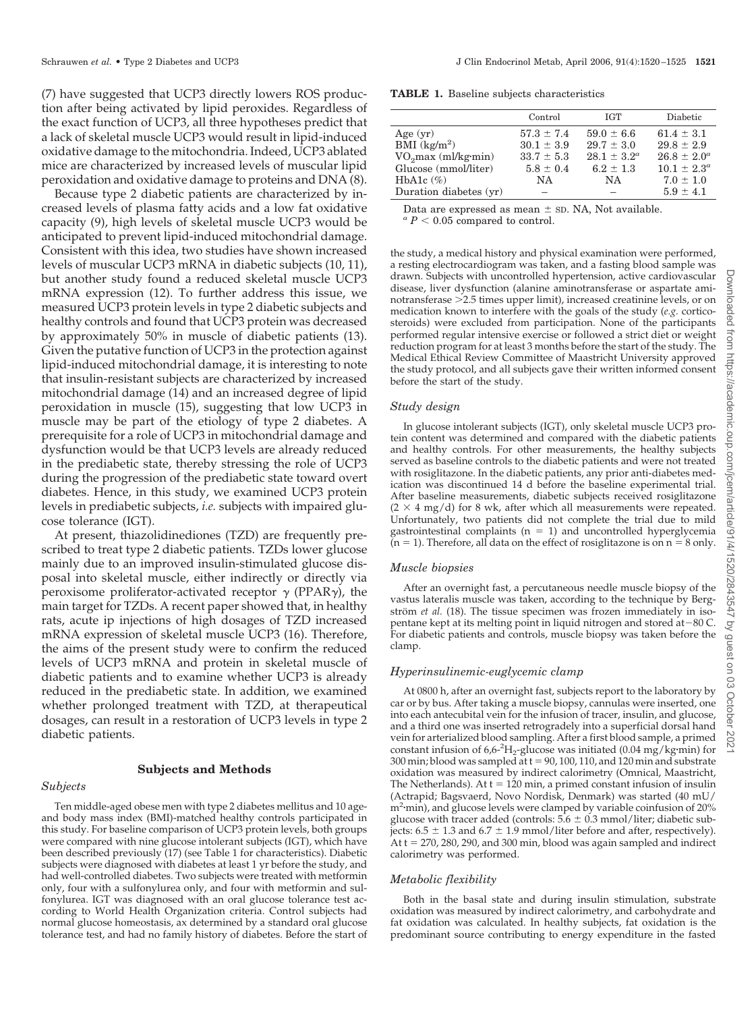(7) have suggested that UCP3 directly lowers ROS production after being activated by lipid peroxides. Regardless of the exact function of UCP3, all three hypotheses predict that a lack of skeletal muscle UCP3 would result in lipid-induced oxidative damage to the mitochondria. Indeed, UCP3 ablated mice are characterized by increased levels of muscular lipid peroxidation and oxidative damage to proteins and DNA (8).

Because type 2 diabetic patients are characterized by increased levels of plasma fatty acids and a low fat oxidative capacity (9), high levels of skeletal muscle UCP3 would be anticipated to prevent lipid-induced mitochondrial damage. Consistent with this idea, two studies have shown increased levels of muscular UCP3 mRNA in diabetic subjects (10, 11), but another study found a reduced skeletal muscle UCP3 mRNA expression (12). To further address this issue, we measured UCP3 protein levels in type 2 diabetic subjects and healthy controls and found that UCP3 protein was decreased by approximately 50% in muscle of diabetic patients (13). Given the putative function of UCP3 in the protection against lipid-induced mitochondrial damage, it is interesting to note that insulin-resistant subjects are characterized by increased mitochondrial damage (14) and an increased degree of lipid peroxidation in muscle (15), suggesting that low UCP3 in muscle may be part of the etiology of type 2 diabetes. A prerequisite for a role of UCP3 in mitochondrial damage and dysfunction would be that UCP3 levels are already reduced in the prediabetic state, thereby stressing the role of UCP3 during the progression of the prediabetic state toward overt diabetes. Hence, in this study, we examined UCP3 protein levels in prediabetic subjects, *i.e.* subjects with impaired glucose tolerance (IGT).

At present, thiazolidinediones (TZD) are frequently prescribed to treat type 2 diabetic patients. TZDs lower glucose mainly due to an improved insulin-stimulated glucose disposal into skeletal muscle, either indirectly or directly via peroxisome proliferator-activated receptor  $\gamma$  (PPAR $\gamma$ ), the main target for TZDs. A recent paper showed that, in healthy rats, acute ip injections of high dosages of TZD increased mRNA expression of skeletal muscle UCP3 (16). Therefore, the aims of the present study were to confirm the reduced levels of UCP3 mRNA and protein in skeletal muscle of diabetic patients and to examine whether UCP3 is already reduced in the prediabetic state. In addition, we examined whether prolonged treatment with TZD, at therapeutical dosages, can result in a restoration of UCP3 levels in type 2 diabetic patients.

#### **Subjects and Methods**

#### *Subjects*

Ten middle-aged obese men with type 2 diabetes mellitus and 10 ageand body mass index (BMI)-matched healthy controls participated in this study. For baseline comparison of UCP3 protein levels, both groups were compared with nine glucose intolerant subjects (IGT), which have been described previously (17) (see Table 1 for characteristics). Diabetic subjects were diagnosed with diabetes at least 1 yr before the study, and had well-controlled diabetes. Two subjects were treated with metformin only, four with a sulfonylurea only, and four with metformin and sulfonylurea. IGT was diagnosed with an oral glucose tolerance test according to World Health Organization criteria. Control subjects had normal glucose homeostasis, ax determined by a standard oral glucose tolerance test, and had no family history of diabetes. Before the start of

**TABLE 1.** Baseline subjects characteristics

|                                 | Control        | <b>IGT</b>       | Diabetic         |
|---------------------------------|----------------|------------------|------------------|
| Age $(yr)$                      | $57.3 \pm 7.4$ | $59.0 \pm 6.6$   | $61.4 \pm 3.1$   |
| BMI $(kg/m^2)$                  | $30.1 \pm 3.9$ | $29.7 \pm 3.0$   | $29.8 \pm 2.9$   |
| VO <sub>2</sub> max (ml/kg·min) | $33.7 \pm 5.3$ | $28.1 \pm 3.2^a$ | $26.8 \pm 2.0^a$ |
| Glucose (mmol/liter)            | $5.8 \pm 0.4$  | $6.2 \pm 1.3$    | $10.1 \pm 2.3^a$ |
| HbA1c $(\%)$                    | NA.            | NA.              | $7.0 \pm 1.0$    |
| Duration diabetes (yr)          |                |                  | $5.9 \pm 4.1$    |

Data are expressed as mean  $\pm$  sD. NA, Not available.  ${}^a\,P < 0.05$  compared to control.

the study, a medical history and physical examination were performed, a resting electrocardiogram was taken, and a fasting blood sample was drawn. Subjects with uncontrolled hypertension, active cardiovascular disease, liver dysfunction (alanine aminotransferase or aspartate aminotransferase 2.5 times upper limit), increased creatinine levels, or on medication known to interfere with the goals of the study (*e.g.* corticosteroids) were excluded from participation. None of the participants performed regular intensive exercise or followed a strict diet or weight reduction program for at least 3 months before the start of the study. The Medical Ethical Review Committee of Maastricht University approved the study protocol, and all subjects gave their written informed consent before the start of the study.

#### *Study design*

In glucose intolerant subjects (IGT), only skeletal muscle UCP3 protein content was determined and compared with the diabetic patients and healthy controls. For other measurements, the healthy subjects served as baseline controls to the diabetic patients and were not treated with rosiglitazone. In the diabetic patients, any prior anti-diabetes medication was discontinued 14 d before the baseline experimental trial. After baseline measurements, diabetic subjects received rosiglitazone  $(2 \times 4 \text{ mg/d})$  for 8 wk, after which all measurements were repeated. Unfortunately, two patients did not complete the trial due to mild gastrointestinal complaints ( $n = 1$ ) and uncontrolled hyperglycemia  $(n = 1)$ . Therefore, all data on the effect of rosiglitazone is on  $n = 8$  only.

#### *Muscle biopsies*

After an overnight fast, a percutaneous needle muscle biopsy of the vastus lateralis muscle was taken, according to the technique by Bergström *et al.* (18). The tissue specimen was frozen immediately in isopentane kept at its melting point in liquid nitrogen and stored at $-80$  C. For diabetic patients and controls, muscle biopsy was taken before the clamp.

#### *Hyperinsulinemic-euglycemic clamp*

At 0800 h, after an overnight fast, subjects report to the laboratory by car or by bus. After taking a muscle biopsy, cannulas were inserted, one into each antecubital vein for the infusion of tracer, insulin, and glucose, and a third one was inserted retrogradely into a superficial dorsal hand vein for arterialized blood sampling. After a first blood sample, a primed constant infusion of  $6.6$ - $^{2}H_{2}$ -glucose was initiated (0.04 mg/kg·min) for 300 min; blood was sampled at  $t = 90$ , 100, 110, and 120 min and substrate oxidation was measured by indirect calorimetry (Omnical, Maastricht, The Netherlands). At  $t = 120$  min, a primed constant infusion of insulin (Actrapid; Bagsvaerd, Novo Nordisk, Denmark) was started (40 mU/ m<sup>2</sup>·min), and glucose levels were clamped by variable coinfusion of 20% glucose with tracer added (controls:  $5.6 \pm 0.3$  mmol/liter; diabetic subjects:  $6.5 \pm 1.3$  and  $6.7 \pm 1.9$  mmol/liter before and after, respectively). At  $t = 270$ , 280, 290, and 300 min, blood was again sampled and indirect calorimetry was performed.

#### *Metabolic flexibility*

Both in the basal state and during insulin stimulation, substrate oxidation was measured by indirect calorimetry, and carbohydrate and fat oxidation was calculated. In healthy subjects, fat oxidation is the predominant source contributing to energy expenditure in the fasted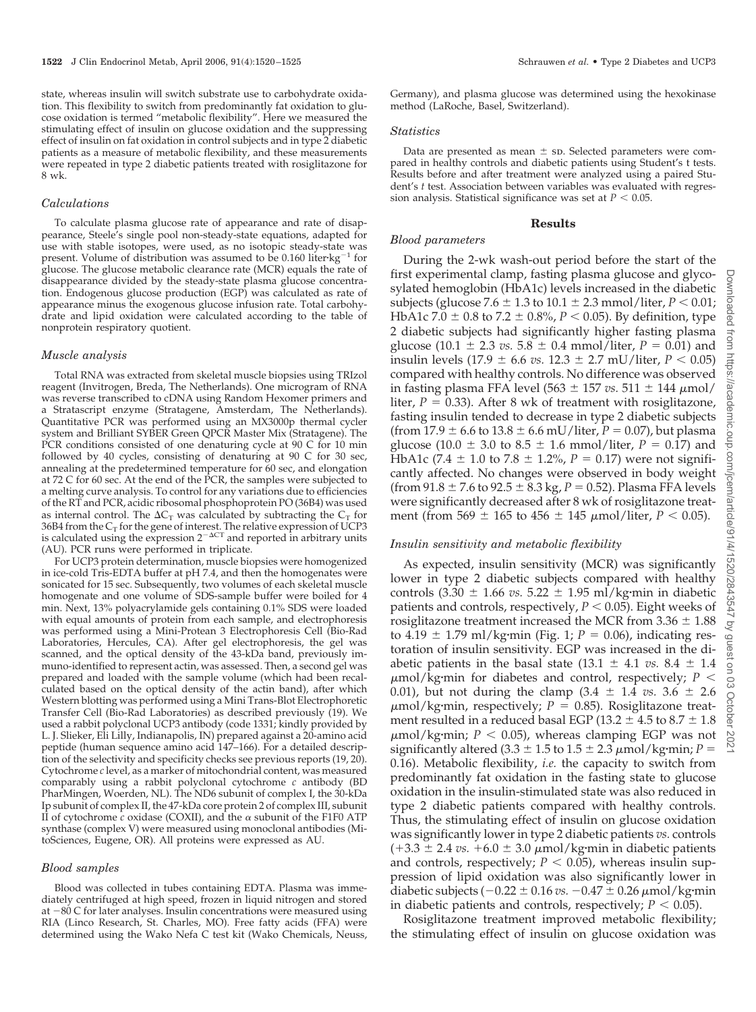state, whereas insulin will switch substrate use to carbohydrate oxidation. This flexibility to switch from predominantly fat oxidation to glucose oxidation is termed "metabolic flexibility". Here we measured the stimulating effect of insulin on glucose oxidation and the suppressing effect of insulin on fat oxidation in control subjects and in type 2 diabetic patients as a measure of metabolic flexibility, and these measurements were repeated in type 2 diabetic patients treated with rosiglitazone for 8 wk.

#### *Calculations*

To calculate plasma glucose rate of appearance and rate of disappearance, Steele's single pool non-steady-state equations, adapted for use with stable isotopes, were used, as no isotopic steady-state was present. Volume of distribution was assumed to be  $0.160$  liter $kg^{-1}$  for glucose. The glucose metabolic clearance rate (MCR) equals the rate of disappearance divided by the steady-state plasma glucose concentration. Endogenous glucose production (EGP) was calculated as rate of appearance minus the exogenous glucose infusion rate. Total carbohydrate and lipid oxidation were calculated according to the table of nonprotein respiratory quotient.

#### *Muscle analysis*

Total RNA was extracted from skeletal muscle biopsies using TRIzol reagent (Invitrogen, Breda, The Netherlands). One microgram of RNA was reverse transcribed to cDNA using Random Hexomer primers and a Stratascript enzyme (Stratagene, Amsterdam, The Netherlands). Quantitative PCR was performed using an MX3000p thermal cycler system and Brilliant SYBER Green QPCR Master Mix (Stratagene). The PCR conditions consisted of one denaturing cycle at 90 C for 10 min followed by 40 cycles, consisting of denaturing at 90 C for 30 sec, annealing at the predetermined temperature for 60 sec, and elongation at 72 C for 60 sec. At the end of the PCR, the samples were subjected to a melting curve analysis. To control for any variations due to efficiencies of the RT and PCR, acidic ribosomal phosphoprotein PO (36B4) was used as internal control. The  $\Delta C_T$  was calculated by subtracting the  $C_T$  for 36B4 from the C<sub>T</sub> for the gene of interest. The relative expression of UCP3<br>is calculated using the expression 2<sup>-ACT</sup> and reported in arbitrary units (AU). PCR runs were performed in triplicate.

For UCP3 protein determination, muscle biopsies were homogenized in ice-cold Tris-EDTA buffer at pH 7.4, and then the homogenates were sonicated for 15 sec. Subsequently, two volumes of each skeletal muscle homogenate and one volume of SDS-sample buffer were boiled for 4 min. Next, 13% polyacrylamide gels containing 0.1% SDS were loaded with equal amounts of protein from each sample, and electrophoresis was performed using a Mini-Protean 3 Electrophoresis Cell (Bio-Rad Laboratories, Hercules, CA). After gel electrophoresis, the gel was scanned, and the optical density of the 43-kDa band, previously immuno-identified to represent actin, was assessed. Then, a second gel was prepared and loaded with the sample volume (which had been recalculated based on the optical density of the actin band), after which Western blotting was performed using a Mini Trans-Blot Electrophoretic Transfer Cell (Bio-Rad Laboratories) as described previously (19). We used a rabbit polyclonal UCP3 antibody (code 1331; kindly provided by L. J. Slieker, Eli Lilly, Indianapolis, IN) prepared against a 20-amino acid peptide (human sequence amino acid 147–166). For a detailed description of the selectivity and specificity checks see previous reports (19, 20). Cytochrome *c* level, as a marker of mitochondrial content, was measured comparably using a rabbit polyclonal cytochrome *c* antibody (BD PharMingen, Woerden, NL). The ND6 subunit of complex I, the 30-kDa Ip subunit of complex II, the 47-kDa core protein 2 of complex III, subunit II of cytochrome  $c$  oxidase (COXII), and the  $\alpha$  subunit of the F1F0 ATP synthase (complex V) were measured using monoclonal antibodies (MitoSciences, Eugene, OR). All proteins were expressed as AU.

#### *Blood samples*

Blood was collected in tubes containing EDTA. Plasma was immediately centrifuged at high speed, frozen in liquid nitrogen and stored at  $-80$  C for later analyses. Insulin concentrations were measured using RIA (Linco Research, St. Charles, MO). Free fatty acids (FFA) were determined using the Wako Nefa C test kit (Wako Chemicals, Neuss,

Germany), and plasma glucose was determined using the hexokinase method (LaRoche, Basel, Switzerland).

#### *Statistics*

Data are presented as mean  $\pm$  sp. Selected parameters were compared in healthy controls and diabetic patients using Student's t tests. Results before and after treatment were analyzed using a paired Student's *t* test. Association between variables was evaluated with regression analysis. Statistical significance was set at  $P < 0.05$ .

#### **Results**

## *Blood parameters*

During the 2-wk wash-out period before the start of the first experimental clamp, fasting plasma glucose and glycosylated hemoglobin (HbA1c) levels increased in the diabetic subjects (glucose 7.6  $\pm$  1.3 to 10.1  $\pm$  2.3 mmol/liter, *P* < 0.01; HbA1c 7.0  $\pm$  0.8 to 7.2  $\pm$  0.8%, *P* < 0.05). By definition, type 2 diabetic subjects had significantly higher fasting plasma glucose (10.1  $\pm$  2.3 *vs.* 5.8  $\pm$  0.4 mmol/liter, *P* = 0.01) and insulin levels  $(17.9 \pm 6.6 \text{ vs. } 12.3 \pm 2.7 \text{ mU/liter}, P < 0.05)$ compared with healthy controls. No difference was observed in fasting plasma FFA level (563  $\pm$  157 *vs.* 511  $\pm$  144  $\mu$ mol/ liter,  $P = 0.33$ ). After 8 wk of treatment with rosiglitazone, fasting insulin tended to decrease in type 2 diabetic subjects (from 17.9  $\pm$  6.6 to 13.8  $\pm$  6.6 mU/liter, *P* = 0.07), but plasma glucose (10.0  $\pm$  3.0 to 8.5  $\pm$  1.6 mmol/liter, *P* = 0.17) and HbA1c (7.4  $\pm$  1.0 to 7.8  $\pm$  1.2%, *P* = 0.17) were not significantly affected. No changes were observed in body weight (from  $91.8 \pm 7.6$  to  $92.5 \pm 8.3$  kg,  $P = 0.52$ ). Plasma FFA levels were significantly decreased after 8 wk of rosiglitazone treatment (from 569  $\pm$  165 to 456  $\pm$  145  $\mu$ mol/liter, *P* < 0.05).

### *Insulin sensitivity and metabolic flexibility*

As expected, insulin sensitivity (MCR) was significantly lower in type 2 diabetic subjects compared with healthy controls  $(3.30 \pm 1.66 \text{ vs. } 5.22 \pm 1.95 \text{ mJ/kg} \cdot \text{min}$  in diabetic patients and controls, respectively,  $P < 0.05$ ). Eight weeks of rosiglitazone treatment increased the MCR from  $3.36 \pm 1.88$ to  $4.19 \pm 1.79$  ml/kg·min (Fig. 1;  $P = 0.06$ ), indicating restoration of insulin sensitivity. EGP was increased in the diabetic patients in the basal state  $(13.1 \pm 4.1 \text{ vs. } 8.4 \pm 1.4$  $\mu$ mol/kg·min for diabetes and control, respectively;  $P \leq$ 0.01), but not during the clamp  $(3.4 \pm 1.4 \text{ vs. } 3.6 \pm 2.6 \text{ s})$  $\mu$ mol/kg·min, respectively;  $P = 0.85$ ). Rosiglitazone treatment resulted in a reduced basal EGP (13.2  $\pm$  4.5 to 8.7  $\pm$  1.8  $\mu$ mol/kg·min;  $P < 0.05$ ), whereas clamping EGP was not significantly altered  $(3.3 \pm 1.5 \text{ to } 1.5 \pm 2.3 \mu \text{mol/kg·min}; P =$ 0.16). Metabolic flexibility, *i.e.* the capacity to switch from predominantly fat oxidation in the fasting state to glucose oxidation in the insulin-stimulated state was also reduced in type 2 diabetic patients compared with healthy controls. Thus, the stimulating effect of insulin on glucose oxidation was significantly lower in type 2 diabetic patients *vs.* controls  $(+3.3 \pm 2.4 \text{ vs. } +6.0 \pm 3.0 \text{ }\mu\text{mol/kg} \cdot \text{min}$  in diabetic patients and controls, respectively;  $P < 0.05$ ), whereas insulin suppression of lipid oxidation was also significantly lower in diabetic subjects  $(-0.22 \pm 0.16 \text{ vs. } -0.47 \pm 0.26 \text{ }\mu\text{mol/kg} \cdot \text{min}$ in diabetic patients and controls, respectively;  $P < 0.05$ ).

Rosiglitazone treatment improved metabolic flexibility; the stimulating effect of insulin on glucose oxidation was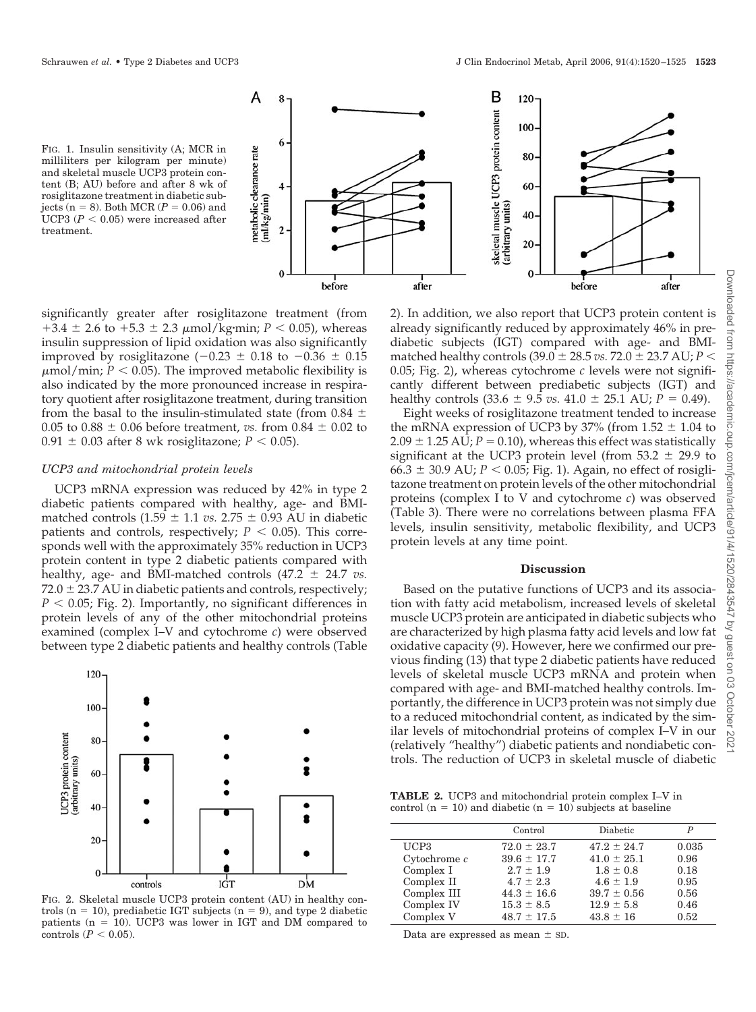



significantly greater after rosiglitazone treatment (from  $+3.4 \pm 2.6$  to  $+5.3 \pm 2.3$   $\mu$ mol/kg·min; *P* < 0.05), whereas insulin suppression of lipid oxidation was also significantly improved by rosiglitazone ( $-0.23 \pm 0.18$  to  $-0.36 \pm 0.15$  $\mu$ mol/min;  $P < 0.05$ ). The improved metabolic flexibility is also indicated by the more pronounced increase in respiratory quotient after rosiglitazone treatment, during transition from the basal to the insulin-stimulated state (from 0.84  $\pm$ 0.05 to 0.88  $\pm$  0.06 before treatment, *vs.* from 0.84  $\pm$  0.02 to  $0.91 \pm 0.03$  after 8 wk rosiglitazone;  $P < 0.05$ ).

#### *UCP3 and mitochondrial protein levels*

UCP3 mRNA expression was reduced by 42% in type 2 diabetic patients compared with healthy, age- and BMImatched controls  $(1.59 \pm 1.1 \text{ vs. } 2.75 \pm 0.93 \text{ AU}$  in diabetic patients and controls, respectively;  $P < 0.05$ ). This corresponds well with the approximately 35% reduction in UCP3 protein content in type 2 diabetic patients compared with healthy, age- and BMI-matched controls  $(47.2 \pm 24.7 \text{ vs.})$  $72.0 \pm 23.7$  AU in diabetic patients and controls, respectively;  $P < 0.05$ ; Fig. 2). Importantly, no significant differences in protein levels of any of the other mitochondrial proteins examined (complex I–V and cytochrome *c*) were observed between type 2 diabetic patients and healthy controls (Table



FIG. 2. Skeletal muscle UCP3 protein content (AU) in healthy controls ( $n = 10$ ), prediabetic IGT subjects ( $n = 9$ ), and type 2 diabetic patients ( $n = 10$ ). UCP3 was lower in IGT and DM compared to controls  $(P < 0.05)$ .

2). In addition, we also report that UCP3 protein content is already significantly reduced by approximately 46% in prediabetic subjects (IGT) compared with age- and BMImatched healthy controls (39.0  $\pm$  28.5 *vs.* 72.0  $\pm$  23.7 AU; *P* < 0.05; Fig. 2), whereas cytochrome *c* levels were not significantly different between prediabetic subjects (IGT) and healthy controls  $(33.6 \pm 9.5 \text{ vs. } 41.0 \pm 25.1 \text{ AU}; P = 0.49)$ .

Eight weeks of rosiglitazone treatment tended to increase the mRNA expression of UCP3 by 37% (from  $1.52 \pm 1.04$  to  $2.09 \pm 1.25$  AU;  $P = 0.10$ ), whereas this effect was statistically significant at the UCP3 protein level (from  $53.2 \pm 29.9$  to  $66.3 \pm 30.9$  AU;  $P < 0.05$ ; Fig. 1). Again, no effect of rosiglitazone treatment on protein levels of the other mitochondrial proteins (complex I to V and cytochrome *c*) was observed (Table 3). There were no correlations between plasma FFA levels, insulin sensitivity, metabolic flexibility, and UCP3 protein levels at any time point.

#### **Discussion**

Based on the putative functions of UCP3 and its association with fatty acid metabolism, increased levels of skeletal muscle UCP3 protein are anticipated in diabetic subjects who are characterized by high plasma fatty acid levels and low fat oxidative capacity (9). However, here we confirmed our previous finding (13) that type 2 diabetic patients have reduced levels of skeletal muscle UCP3 mRNA and protein when compared with age- and BMI-matched healthy controls. Importantly, the difference in UCP3 protein was not simply due to a reduced mitochondrial content, as indicated by the similar levels of mitochondrial proteins of complex I–V in our (relatively "healthy") diabetic patients and nondiabetic controls. The reduction of UCP3 in skeletal muscle of diabetic

**TABLE 2.** UCP3 and mitochondrial protein complex I–V in control ( $n = 10$ ) and diabetic ( $n = 10$ ) subjects at baseline

|                | Control         | Diabetic        | P     |
|----------------|-----------------|-----------------|-------|
| UCP3           | $72.0 \pm 23.7$ | $47.2 \pm 24.7$ | 0.035 |
| Cytochrome $c$ | $39.6 \pm 17.7$ | $41.0 \pm 25.1$ | 0.96  |
| Complex I      | $2.7 \pm 1.9$   | $1.8 \pm 0.8$   | 0.18  |
| Complex II     | $4.7 \pm 2.3$   | $4.6 \pm 1.9$   | 0.95  |
| Complex III    | $44.3 \pm 16.6$ | $39.7 \pm 0.56$ | 0.56  |
| Complex IV     | $15.3 \pm 8.5$  | $12.9 \pm 5.8$  | 0.46  |
| Complex V      | $48.7 \pm 17.5$ | $43.8 \pm 16$   | 0.52  |
|                |                 |                 |       |

Data are expressed as mean  $\pm$  sD.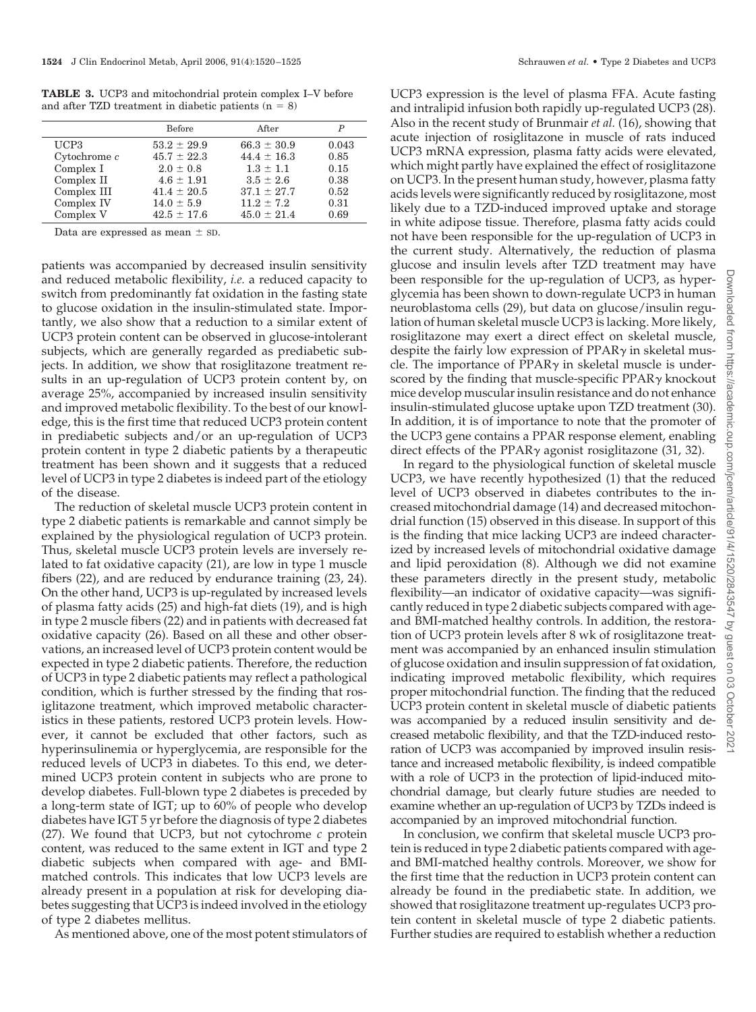**TABLE 3.** UCP3 and mitochondrial protein complex I–V before and after TZD treatment in diabetic patients  $(n = 8)$ 

|                   | Before          | After           | P     |
|-------------------|-----------------|-----------------|-------|
| UCP3              | $53.2 \pm 29.9$ | $66.3 \pm 30.9$ | 0.043 |
| $C$ vtochrome $c$ | $45.7 \pm 22.3$ | $44.4 \pm 16.3$ | 0.85  |
| Complex I         | $2.0 \pm 0.8$   | $1.3 \pm 1.1$   | 0.15  |
| Complex II        | $4.6 \pm 1.91$  | $3.5 \pm 2.6$   | 0.38  |
| Complex III       | $41.4 \pm 20.5$ | $37.1 \pm 27.7$ | 0.52  |
| Complex IV        | $14.0 \pm 5.9$  | $11.2 \pm 7.2$  | 0.31  |
| Complex V         | $42.5 \pm 17.6$ | $45.0 \pm 21.4$ | 0.69  |

Data are expressed as mean  $\pm$  sD.

patients was accompanied by decreased insulin sensitivity and reduced metabolic flexibility, *i.e.* a reduced capacity to switch from predominantly fat oxidation in the fasting state to glucose oxidation in the insulin-stimulated state. Importantly, we also show that a reduction to a similar extent of UCP3 protein content can be observed in glucose-intolerant subjects, which are generally regarded as prediabetic subjects. In addition, we show that rosiglitazone treatment results in an up-regulation of UCP3 protein content by, on average 25%, accompanied by increased insulin sensitivity and improved metabolic flexibility. To the best of our knowledge, this is the first time that reduced UCP3 protein content in prediabetic subjects and/or an up-regulation of UCP3 protein content in type 2 diabetic patients by a therapeutic treatment has been shown and it suggests that a reduced level of UCP3 in type 2 diabetes is indeed part of the etiology of the disease.

The reduction of skeletal muscle UCP3 protein content in type 2 diabetic patients is remarkable and cannot simply be explained by the physiological regulation of UCP3 protein. Thus, skeletal muscle UCP3 protein levels are inversely related to fat oxidative capacity (21), are low in type 1 muscle fibers (22), and are reduced by endurance training (23, 24). On the other hand, UCP3 is up-regulated by increased levels of plasma fatty acids (25) and high-fat diets (19), and is high in type 2 muscle fibers (22) and in patients with decreased fat oxidative capacity (26). Based on all these and other observations, an increased level of UCP3 protein content would be expected in type 2 diabetic patients. Therefore, the reduction of UCP3 in type 2 diabetic patients may reflect a pathological condition, which is further stressed by the finding that rosiglitazone treatment, which improved metabolic characteristics in these patients, restored UCP3 protein levels. However, it cannot be excluded that other factors, such as hyperinsulinemia or hyperglycemia, are responsible for the reduced levels of UCP3 in diabetes. To this end, we determined UCP3 protein content in subjects who are prone to develop diabetes. Full-blown type 2 diabetes is preceded by a long-term state of IGT; up to 60% of people who develop diabetes have IGT 5 yr before the diagnosis of type 2 diabetes (27). We found that UCP3, but not cytochrome *c* protein content, was reduced to the same extent in IGT and type 2 diabetic subjects when compared with age- and BMImatched controls. This indicates that low UCP3 levels are already present in a population at risk for developing diabetes suggesting that UCP3 is indeed involved in the etiology of type 2 diabetes mellitus.

As mentioned above, one of the most potent stimulators of

UCP3 expression is the level of plasma FFA. Acute fasting and intralipid infusion both rapidly up-regulated UCP3 (28). Also in the recent study of Brunmair *et al.* (16), showing that acute injection of rosiglitazone in muscle of rats induced UCP3 mRNA expression, plasma fatty acids were elevated, which might partly have explained the effect of rosiglitazone on UCP3. In the present human study, however, plasma fatty acids levels were significantly reduced by rosiglitazone, most likely due to a TZD-induced improved uptake and storage in white adipose tissue. Therefore, plasma fatty acids could not have been responsible for the up-regulation of UCP3 in the current study. Alternatively, the reduction of plasma glucose and insulin levels after TZD treatment may have been responsible for the up-regulation of UCP3, as hyperglycemia has been shown to down-regulate UCP3 in human neuroblastoma cells (29), but data on glucose/insulin regulation of human skeletal muscle UCP3 is lacking. More likely, rosiglitazone may exert a direct effect on skeletal muscle, despite the fairly low expression of  $PPAR\gamma$  in skeletal muscle. The importance of  $PPAR\gamma$  in skeletal muscle is underscored by the finding that muscle-specific  $PPAR<sub>\gamma</sub>$  knockout mice develop muscular insulin resistance and do not enhance insulin-stimulated glucose uptake upon TZD treatment (30). In addition, it is of importance to note that the promoter of the UCP3 gene contains a PPAR response element, enabling direct effects of the PPAR $\gamma$  agonist rosiglitazone (31, 32).

In regard to the physiological function of skeletal muscle UCP3, we have recently hypothesized (1) that the reduced level of UCP3 observed in diabetes contributes to the increased mitochondrial damage (14) and decreased mitochondrial function (15) observed in this disease. In support of this is the finding that mice lacking UCP3 are indeed characterized by increased levels of mitochondrial oxidative damage and lipid peroxidation (8). Although we did not examine these parameters directly in the present study, metabolic flexibility—an indicator of oxidative capacity—was significantly reduced in type 2 diabetic subjects compared with ageand BMI-matched healthy controls. In addition, the restoration of UCP3 protein levels after 8 wk of rosiglitazone treatment was accompanied by an enhanced insulin stimulation of glucose oxidation and insulin suppression of fat oxidation, indicating improved metabolic flexibility, which requires proper mitochondrial function. The finding that the reduced UCP3 protein content in skeletal muscle of diabetic patients was accompanied by a reduced insulin sensitivity and decreased metabolic flexibility, and that the TZD-induced restoration of UCP3 was accompanied by improved insulin resistance and increased metabolic flexibility, is indeed compatible with a role of UCP3 in the protection of lipid-induced mitochondrial damage, but clearly future studies are needed to examine whether an up-regulation of UCP3 by TZDs indeed is accompanied by an improved mitochondrial function.

In conclusion, we confirm that skeletal muscle UCP3 protein is reduced in type 2 diabetic patients compared with ageand BMI-matched healthy controls. Moreover, we show for the first time that the reduction in UCP3 protein content can already be found in the prediabetic state. In addition, we showed that rosiglitazone treatment up-regulates UCP3 protein content in skeletal muscle of type 2 diabetic patients. Further studies are required to establish whether a reduction